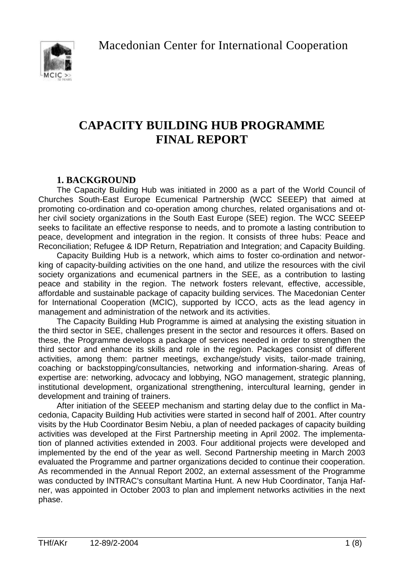Macedonian Center for International Cooperation



# **CAPACITY BUILDING HUB PROGRAMME FINAL REPORT**

# **1. BACKGROUND**

The Capacity Building Hub was initiated in 2000 as a part of the World Council of Churches South-East Europe Ecumenical Partnership (WCC SEEEP) that aimed at promoting co-ordination and co-operation among churches, related organisations and other civil society organizations in the South East Europe (SEE) region. The WCC SEEEP seeks to facilitate an effective response to needs, and to promote a lasting contribution to peace, development and integration in the region. It consists of three hubs: Peace and Reconciliation; Refugee & IDP Return, Repatriation and Integration; and Capacity Building.

Capacity Building Hub is a network, which aims to foster co-ordination and networking of capacity-building activities on the one hand, and utilize the resources with the civil society organizations and ecumenical partners in the SEE, as a contribution to lasting peace and stability in the region. The network fosters relevant, effective, accessible, affordable and sustainable package of capacity building services. The Macedonian Center for International Cooperation (MCIC), supported by ICCO, acts as the lead agency in management and administration of the network and its activities.

The Capacity Building Hub Programme is aimed at analysing the existing situation in the third sector in SEE, challenges present in the sector and resources it offers. Based on these, the Programme develops a package of services needed in order to strengthen the third sector and enhance its skills and role in the region. Packages consist of different activities, among them: partner meetings, exchange/study visits, tailor-made training, coaching or backstopping/consultancies, networking and information-sharing. Areas of expertise are: networking, advocacy and lobbying, NGO management, strategic planning, institutional development, organizational strengthening, intercultural learning, gender in development and training of trainers.

After initiation of the SEEEP mechanism and starting delay due to the conflict in Macedonia, Capacity Building Hub activities were started in second half of 2001. After country visits by the Hub Coordinator Besim Nebiu, a plan of needed packages of capacity building activities was developed at the First Partnership meeting in April 2002. The implementation of planned activities extended in 2003. Four additional projects were developed and implemented by the end of the year as well. Second Partnership meeting in March 2003 evaluated the Programme and partner organizations decided to continue their cooperation. As recommended in the Annual Report 2002, an external assessment of the Programme was conducted by INTRAC's consultant Martina Hunt. A new Hub Coordinator, Tanja Hafner, was appointed in October 2003 to plan and implement networks activities in the next phase.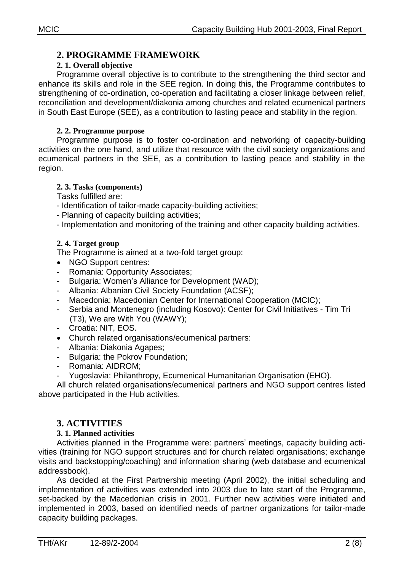# **2. 1. Overall objective**

Programme overall objective is to contribute to the strengthening the third sector and enhance its skills and role in the SEE region. In doing this, the Programme contributes to strengthening of co-ordination, co-operation and facilitating a closer linkage between relief, reconciliation and development/diakonia among churches and related ecumenical partners in South East Europe (SEE), as a contribution to lasting peace and stability in the region.

# **2. 2. Programme purpose**

Programme purpose is to foster co-ordination and networking of capacity-building activities on the one hand, and utilize that resource with the civil society organizations and ecumenical partners in the SEE, as a contribution to lasting peace and stability in the region.

# **2. 3. Tasks (components)**

Tasks fulfilled are:

- Identification of tailor-made capacity-building activities;
- Planning of capacity building activities;
- Implementation and monitoring of the training and other capacity building activities.

# **2. 4. Target group**

The Programme is aimed at a two-fold target group:

- NGO Support centres:
- Romania: Opportunity Associates;
- Bulgaria: Women's Alliance for Development (WAD);
- Albania: Albanian Civil Society Foundation (ACSF);
- Macedonia: Macedonian Center for International Cooperation (MCIC);
- Serbia and Montenegro (including Kosovo): Center for Civil Initiatives Tim Tri (T3), We are With You (WAWY);
- Croatia: NIT, EOS.
- Church related organisations/ecumenical partners:
- Albania: Diakonia Agapes;
- Bulgaria: the Pokrov Foundation;
- Romania: AIDROM:
- Yugoslavia: Philanthropy, Ecumenical Humanitarian Organisation (EHO).

All church related organisations/ecumenical partners and NGO support centres listed above participated in the Hub activities.

# **3. ACTIVITIES**

# **3. 1. Planned activities**

Activities planned in the Programme were: partners' meetings, capacity building activities (training for NGO support structures and for church related organisations; exchange visits and backstopping/coaching) and information sharing (web database and ecumenical addressbook).

As decided at the First Partnership meeting (April 2002), the initial scheduling and implementation of activities was extended into 2003 due to late start of the Programme, set-backed by the Macedonian crisis in 2001. Further new activities were initiated and implemented in 2003, based on identified needs of partner organizations for tailor-made capacity building packages.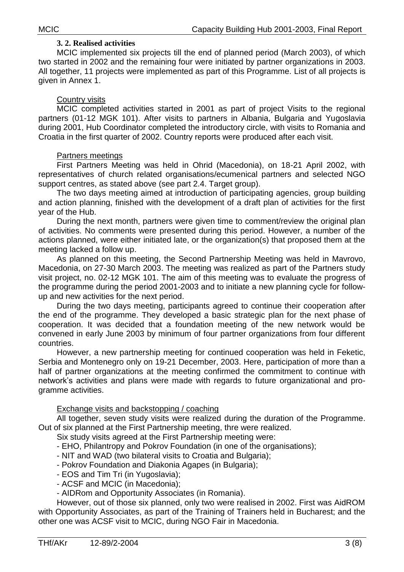#### **3. 2. Realised activities**

MCIC implemented six projects till the end of planned period (March 2003), of which two started in 2002 and the remaining four were initiated by partner organizations in 2003. All together, 11 projects were implemented as part of this Programme. List of all projects is given in Annex 1.

#### Country visits

MCIC completed activities started in 2001 as part of project Visits to the regional partners (01-12 MGK 101). After visits to partners in Albania, Bulgaria and Yugoslavia during 2001, Hub Coordinator completed the introductory circle, with visits to Romania and Croatia in the first quarter of 2002. Country reports were produced after each visit.

#### Partners meetings

First Partners Meeting was held in Ohrid (Macedonia), on 18-21 April 2002, with representatives of church related organisations/ecumenical partners and selected NGO support centres, as stated above (see part 2.4. Target group).

The two days meeting aimed at introduction of participating agencies, group building and action planning, finished with the development of a draft plan of activities for the first year of the Hub.

During the next month, partners were given time to comment/review the original plan of activities. No comments were presented during this period. However, a number of the actions planned, were either initiated late, or the organization(s) that proposed them at the meeting lacked a follow up.

As planned on this meeting, the Second Partnership Meeting was held in Mavrovo, Macedonia, on 27-30 March 2003. The meeting was realized as part of the Partners study visit project, no. 02-12 MGK 101. The aim of this meeting was to evaluate the progress of the programme during the period 2001-2003 and to initiate a new planning cycle for followup and new activities for the next period.

During the two days meeting, participants agreed to continue their cooperation after the end of the programme. They developed a basic strategic plan for the next phase of cooperation. It was decided that a foundation meeting of the new network would be convened in early June 2003 by minimum of four partner organizations from four different countries.

However, a new partnership meeting for continued cooperation was held in Feketic, Serbia and Montenegro only on 19-21 December, 2003. Here, participation of more than a half of partner organizations at the meeting confirmed the commitment to continue with network's activities and plans were made with regards to future organizational and programme activities.

### Exchange visits and backstopping / coaching

All together, seven study visits were realized during the duration of the Programme. Out of six planned at the First Partnership meeting, thre were realized.

Six study visits agreed at the First Partnership meeting were:

- EHO, Philantropy and Pokrov Foundation (in one of the organisations);

- NIT and WAD (two bilateral visits to Croatia and Bulgaria);

- Pokrov Foundation and Diakonia Agapes (in Bulgaria);

- EOS and Tim Tri (in Yugoslavia);
- ACSF and MCIC (in Macedonia);

- AIDRom and Opportunity Associates (in Romania).

However, out of those six planned, only two were realised in 2002. First was AidROM with Opportunity Associates, as part of the Training of Trainers held in Bucharest; and the other one was ACSF visit to MCIC, during NGO Fair in Macedonia.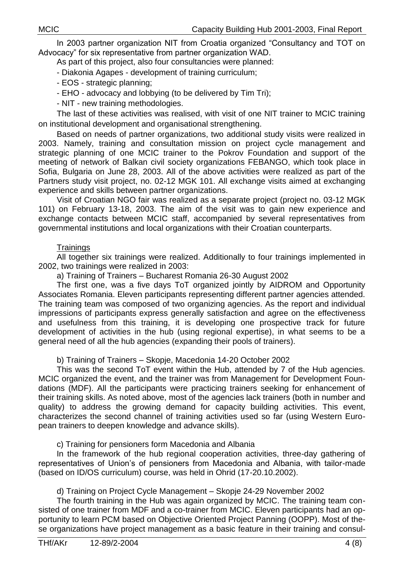In 2003 partner organization NIT from Croatia organized "Consultancy and TOT on Advocacy" for six representative from partner organization WAD.

As part of this project, also four consultancies were planned:

- Diakonia Agapes - development of training curriculum;

- EOS strategic planning;
- EHO advocacy and lobbying (to be delivered by Tim Tri);
- NIT new training methodologies.

The last of these activities was realised, with visit of one NIT trainer to MCIC training on institutional development and organisational strengthening.

Based on needs of partner organizations, two additional study visits were realized in 2003. Namely, training and consultation mission on project cycle management and strategic planning of one MCIC trainer to the Pokrov Foundation and support of the meeting of network of Balkan civil society organizations FEBANGO, which took place in Sofia, Bulgaria on June 28, 2003. All of the above activities were realized as part of the Partners study visit project, no. 02-12 MGK 101. All exchange visits aimed at exchanging experience and skills between partner organizations.

Visit of Croatian NGO fair was realized as a separate project (project no. 03-12 MGK 101) on February 13-18, 2003. The aim of the visit was to gain new experience and exchange contacts between MCIC staff, accompanied by several representatives from governmental institutions and local organizations with their Croatian counterparts.

#### **Trainings**

All together six trainings were realized. Additionally to four trainings implemented in 2002, two trainings were realized in 2003:

a) Training of Trainers – Bucharest Romania 26-30 August 2002

The first one, was a five days ToT organized jointly by AIDROM and Opportunity Associates Romania. Eleven participants representing different partner agencies attended. The training team was composed of two organizing agencies. As the report and individual impressions of participants express generally satisfaction and agree on the effectiveness and usefulness from this training, it is developing one prospective track for future development of activities in the hub (using regional expertise), in what seems to be a general need of all the hub agencies (expanding their pools of trainers).

b) Training of Trainers – Skopje, Macedonia 14-20 October 2002

This was the second ToT event within the Hub, attended by 7 of the Hub agencies. MCIC organized the event, and the trainer was from Management for Development Foundations (MDF). All the participants were practicing trainers seeking for enhancement of their training skills. As noted above, most of the agencies lack trainers (both in number and quality) to address the growing demand for capacity building activities. This event, characterizes the second channel of training activities used so far (using Western European trainers to deepen knowledge and advance skills).

c) Training for pensioners form Macedonia and Albania

In the framework of the hub regional cooperation activities, three-day gathering of representatives of Union's of pensioners from Macedonia and Albania, with tailor-made (based on ID/OS curriculum) course, was held in Ohrid (17-20.10.2002).

#### d) Training on Project Cycle Management – Skopje 24-29 November 2002

The fourth training in the Hub was again organized by MCIC. The training team consisted of one trainer from MDF and a co-trainer from MCIC. Eleven participants had an opportunity to learn PCM based on Objective Oriented Project Panning (OOPP). Most of these organizations have project management as a basic feature in their training and consul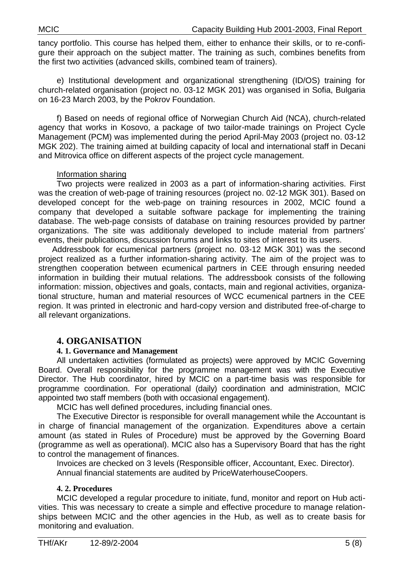tancy portfolio. This course has helped them, either to enhance their skills, or to re-configure their approach on the subject matter. The training as such, combines benefits from the first two activities (advanced skills, combined team of trainers).

e) Institutional development and organizational strengthening (ID/OS) training for church-related organisation (project no. 03-12 MGK 201) was organised in Sofia, Bulgaria on 16-23 March 2003, by the Pokrov Foundation.

f) Based on needs of regional office of Norwegian Church Aid (NCA), church-related agency that works in Kosovo, a package of two tailor-made trainings on Project Cycle Management (PCM) was implemented during the period April-May 2003 (project no. 03-12 MGK 202). The training aimed at building capacity of local and international staff in Decani and Mitrovica office on different aspects of the project cycle management.

#### Information sharing

Two projects were realized in 2003 as a part of information-sharing activities. First was the creation of web-page of training resources (project no. 02-12 MGK 301). Based on developed concept for the web-page on training resources in 2002, MCIC found a company that developed a suitable software package for implementing the training database. The web-page consists of database on training resources provided by partner organizations. The site was additionaly developed to include material from partners' events, their publications, discussion forums and links to sites of interest to its users.

Addressbook for ecumenical partners (project no. 03-12 MGK 301) was the second project realized as a further information-sharing activity. The aim of the project was to strengthen cooperation between ecumenical partners in CEE through ensuring needed information in building their mutual relations. The addressbook consists of the following information: mission, objectives and goals, contacts, main and regional activities, organizational structure, human and material resources of WCC ecumenical partners in the CEE region. It was printed in electronic and hard-copy version and distributed free-of-charge to all relevant organizations.

# **4. ORGANISATION**

#### **4. 1. Governance and Management**

All undertaken activities (formulated as projects) were approved by MCIC Governing Board. Overall responsibility for the programme management was with the Executive Director. The Hub coordinator, hired by MCIC on a part-time basis was responsible for programme coordination. For operational (daily) coordination and administration, MCIC appointed two staff members (both with occasional engagement).

MCIC has well defined procedures, including financial ones.

The Executive Director is responsible for overall management while the Accountant is in charge of financial management of the organization. Expenditures above a certain amount (as stated in Rules of Procedure) must be approved by the Governing Board (programme as well as operational). MCIC also has a Supervisory Board that has the right to control the management of finances.

Invoices are checked on 3 levels (Responsible officer, Accountant, Exec. Director). Annual financial statements are audited by PriceWaterhouseCoopers.

### **4. 2. Procedures**

MCIC developed a regular procedure to initiate, fund, monitor and report on Hub activities. This was necessary to create a simple and effective procedure to manage relationships between MCIC and the other agencies in the Hub, as well as to create basis for monitoring and evaluation.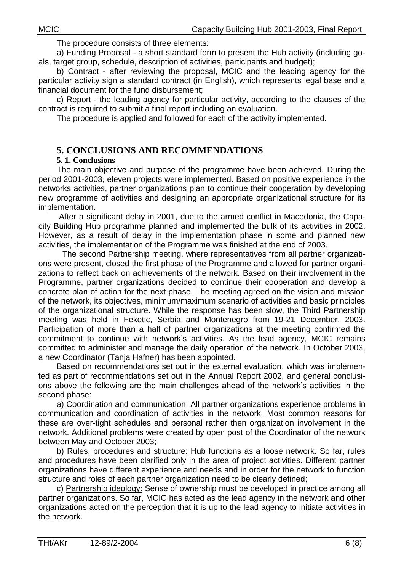The procedure consists of three elements:

a) Funding Proposal - a short standard form to present the Hub activity (including goals, target group, schedule, description of activities, participants and budget);

b) Contract - after reviewing the proposal, MCIC and the leading agency for the particular activity sign a standard contract (in English), which represents legal base and a financial document for the fund disbursement;

c) Report - the leading agency for particular activity, according to the clauses of the contract is required to submit a final report including an evaluation.

The procedure is applied and followed for each of the activity implemented.

# **5. CONCLUSIONS AND RECOMMENDATIONS**

### **5. 1. Conclusions**

The main objective and purpose of the programme have been achieved. During the period 2001-2003, eleven projects were implemented. Based on positive experience in the networks activities, partner organizations plan to continue their cooperation by developing new programme of activities and designing an appropriate organizational structure for its implementation.

After a significant delay in 2001, due to the armed conflict in Macedonia, the Capacity Building Hub programme planned and implemented the bulk of its activities in 2002. However, as a result of delay in the implementation phase in some and planned new activities, the implementation of the Programme was finished at the end of 2003.

The second Partnership meeting, where representatives from all partner organizations were present, closed the first phase of the Programme and allowed for partner organizations to reflect back on achievements of the network. Based on their involvement in the Programme, partner organizations decided to continue their cooperation and develop a concrete plan of action for the next phase. The meeting agreed on the vision and mission of the network, its objectives, minimum/maximum scenario of activities and basic principles of the organizational structure. While the response has been slow, the Third Partnership meeting was held in Feketic, Serbia and Montenegro from 19-21 December, 2003. Participation of more than a half of partner organizations at the meeting confirmed the commitment to continue with network's activities. As the lead agency, MCIC remains committed to administer and manage the daily operation of the network. In October 2003, a new Coordinator (Tanja Hafner) has been appointed.

Based on recommendations set out in the external evaluation, which was implemented as part of recommendations set out in the Annual Report 2002, and general conclusions above the following are the main challenges ahead of the network's activities in the second phase:

a) Coordination and communication: All partner organizations experience problems in communication and coordination of activities in the network. Most common reasons for these are over-tight schedules and personal rather then organization involvement in the network. Additional problems were created by open post of the Coordinator of the network between May and October 2003;

b) Rules, procedures and structure: Hub functions as a loose network. So far, rules and procedures have been clarified only in the area of project activities. Different partner organizations have different experience and needs and in order for the network to function structure and roles of each partner organization need to be clearly defined;

c) Partnership ideology: Sense of ownership must be developed in practice among all partner organizations. So far, MCIC has acted as the lead agency in the network and other organizations acted on the perception that it is up to the lead agency to initiate activities in the network.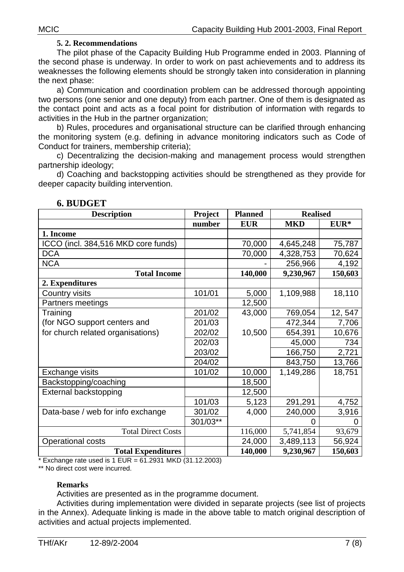#### **5. 2. Recommendations**

The pilot phase of the Capacity Building Hub Programme ended in 2003. Planning of the second phase is underway. In order to work on past achievements and to address its weaknesses the following elements should be strongly taken into consideration in planning the next phase:

a) Communication and coordination problem can be addressed thorough appointing two persons (one senior and one deputy) from each partner. One of them is designated as the contact point and acts as a focal point for distribution of information with regards to activities in the Hub in the partner organization;

b) Rules, procedures and organisational structure can be clarified through enhancing the monitoring system (e.g. defining in advance monitoring indicators such as Code of Conduct for trainers, membership criteria);

c) Decentralizing the decision-making and management process would strengthen partnership ideology;

d) Coaching and backstopping activities should be strengthened as they provide for deeper capacity building intervention.

| <b>Description</b>                                       | Project  | <b>Planned</b> | <b>Realised</b> |         |  |
|----------------------------------------------------------|----------|----------------|-----------------|---------|--|
|                                                          | number   | <b>EUR</b>     | <b>MKD</b>      | EUR*    |  |
| 1. Income                                                |          |                |                 |         |  |
| <b>ICCO</b><br>(incl. 384,516 MKD core funds)            |          | 70,000         | 4,645,248       | 75,787  |  |
| <b>DCA</b>                                               |          | 70,000         | 4,328,753       | 70,624  |  |
| <b>NCA</b>                                               |          |                | 256,966         | 4,192   |  |
| <b>Total Income</b>                                      |          | 140,000        | 9,230,967       | 150,603 |  |
| 2. Expenditures                                          |          |                |                 |         |  |
| Country visits                                           | 101/01   | 5,000          | 1,109,988       | 18,110  |  |
| Partners meetings                                        |          | 12,500         |                 |         |  |
| Training                                                 | 201/02   | 43,000         | 769,054         | 12, 547 |  |
| (for NGO support centers and                             | 201/03   |                | 472,344         | 7,706   |  |
| for church related organisations)                        | 202/02   | 10,500         | 654,391         | 10,676  |  |
|                                                          | 202/03   |                | 45,000          | 734     |  |
|                                                          | 203/02   |                | 166,750         | 2,721   |  |
|                                                          | 204/02   |                | 843,750         | 13,766  |  |
| Exchange visits                                          | 101/02   | 10,000         | 1,149,286       | 18,751  |  |
| Backstopping/coaching                                    |          | 18,500         |                 |         |  |
| External backstopping                                    |          | 12,500         |                 |         |  |
|                                                          | 101/03   | 5,123          | 291,291         | 4,752   |  |
| Data-base / web for info exchange                        | 301/02   | 4,000          | 240,000         | 3,916   |  |
|                                                          | 301/03** |                | O               |         |  |
| <b>Total Direct Costs</b>                                |          | 116,000        | 5,741,854       | 93,679  |  |
| <b>Operational costs</b>                                 |          | 24,000         | 3,489,113       | 56,924  |  |
| <b>Total Expenditures</b>                                |          | 140,000        | 9,230,967       | 150,603 |  |
| * Exchange rate used is 1 FUR = 61 2931 MKD (31 12 2003) |          |                |                 |         |  |

#### **6. BUDGET**

exchange rate used is 1 EUR = 61.2931 MKD (31.12.2003).

\*\* No direct cost were incurred.

#### **Remarks**

Activities are presented as in the programme document.

Activities during implementation were divided in separate projects (see list of projects in the Annex). Adequate linking is made in the above table to match original description of activities and actual projects implemented.